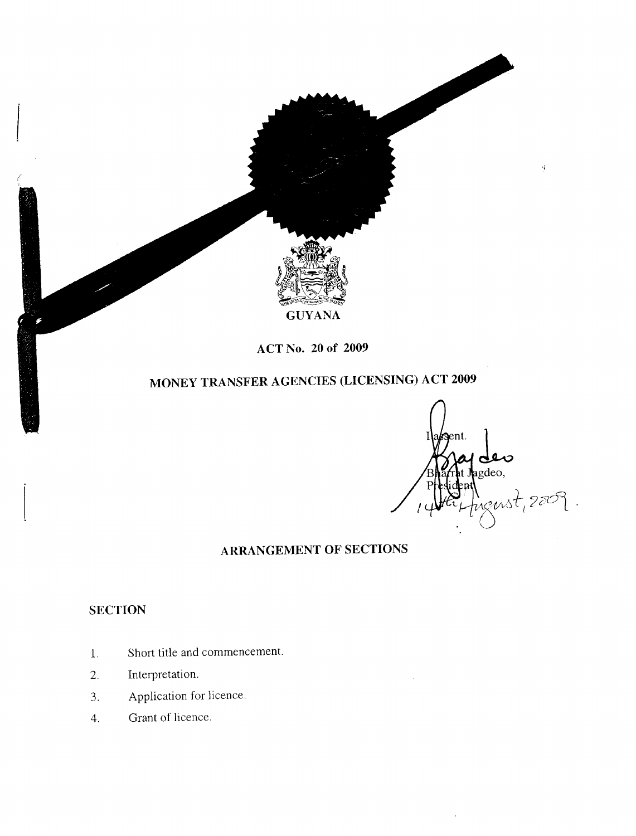

## **MONEY TRANSFER AGENCIES (LICENSING) ACT 2009**

ent. agdeo, zust<sub>i</sub> 2*5*09 .

## **ARRANGEMENT OF SECTIONS**

## **SECTION**

- 1. Short title and commencement.
- 2. Interpretation.
- 3. Application for licence.
- 4. Grant of licence.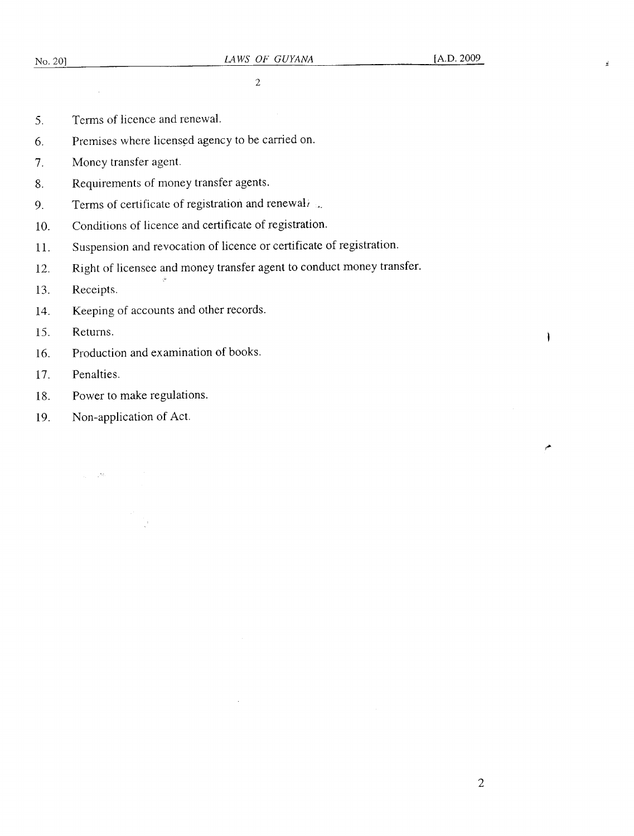$\mathbf{I}$ 

م

2

- 5. Terms of licence and renewal.
- 6. Premises where licensed agency to be carried on.
- 7. Money transfer agent.

 $\sim$ 

- 8. Requirements of money transfer agents.
- 9. Terms of certificate of registration and renewali- $\alpha$ .
- 10. Conditions of licence and certificate of registration.
- **11.** Suspension and revocation of licence or certificate of registration.
- 12. Right of licensee and money transfer agent to conduct money transfer.

## 13. Receipts.

- 14. Keeping of accounts and other records.
- 15. Returns.
- 16. Production and examination of books.
- 17. Penalties.
- 18. Power to make regulations.
- 19. Non-application of Act.

 $\sim$  per  $^{\prime}$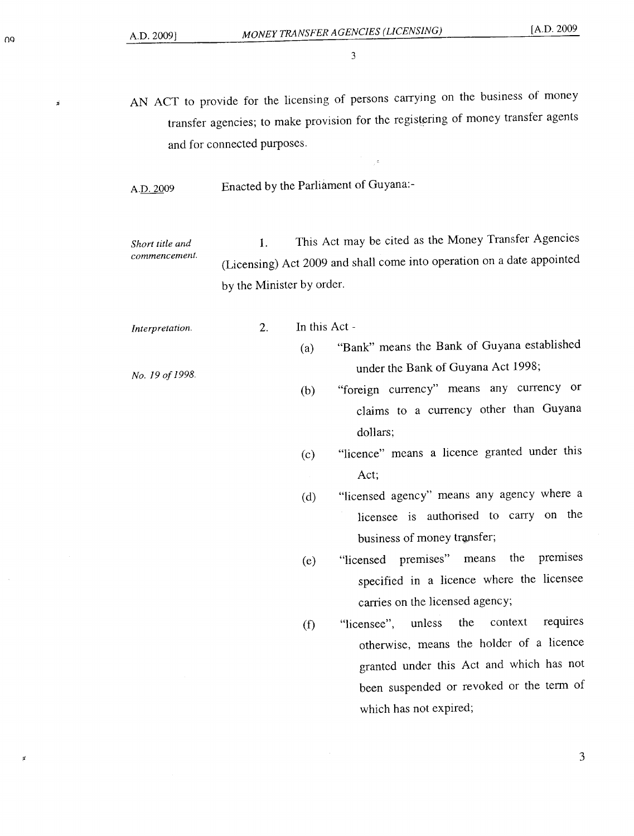AN ACT to provide for the licensing of persons carrying on the business of money transfer agencies; to make provision for the registering of money transfer agents and for connected purposes.

A.D. 2009 Enacted by the Parliament of Guyana:-

*Short title and commencement.* 1. This Act may be cited as the Money Transfer Agencies (Licensing) Act 2009 and shall come into operation on a date appointed by the Minister by order.

*Interpretation.* 2. In this Act -

*No. 19 of 1998.*

- (a) "Bank" means the Bank of Guyana established under the Bank of Guyana Act 1998;
- (b) "foreign currency" means any currency or claims to a currency other than Guyana dollars;
- (c) "licence" means a licence granted under this Act;
- (d) "licensed agency" means any agency where a licensee is authorised to carry on the business of money transfer;
- (e) "licensed premises" means the premises specified in a licence where the licensee carries on the licensed agency;
- (f) "licensee", unless the context requires otherwise, means the holder of a licence granted under this Act and which has not been suspended or revoked or the term of which has not expired;

 $\leq$ 

ź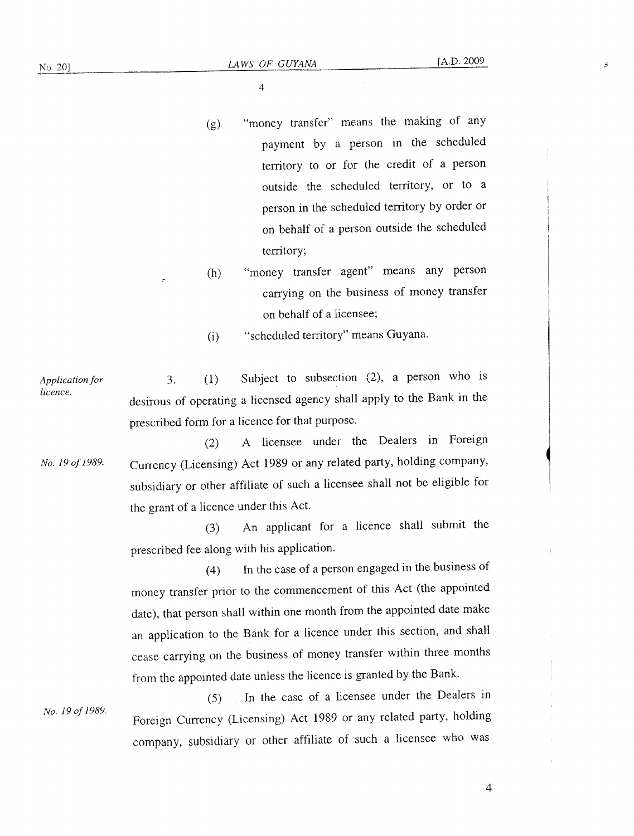(g) "money transfer" means the making of any payment by a person in the scheduled territory to or for the credit of a person outside the scheduled territory, or to a person in the scheduled territory by order or on behalf of a person outside the scheduled territory;

(h) "money transfer agent" means any person carrying on the business of money transfer on behalf of a licensee;

(i) "scheduled territory" means Guyana.

*Application for licence.* 3. (1) Subject to subsection (2), a person who is desirous of operating a licensed agency shall apply to the Bank in the prescribed form for a licence for that purpose.

*No.* 19 *of 1989.* (2) A licensee under the Dealers in Foreign Currency (Licensing) Act 1989 or any related party, holding company, subsidiary or other affiliate of such a licensee shall not be eligible for the grant of a licence under this Act.

> (3) An applicant for a licence shall submit the prescribed fee along with his application.

> (4) In the case of a person engaged in the business of money transfer prior to the commencement of this Act (the appointed date), that person shall within one month from the appointed date make an application to the Bank for a licence under this section, and shall cease carrying on the business of money transfer within three months from the appointed date unless the licence is granted by the Bank.

*No.* 19 *of 1989\_*

(5) In the case of a licensee under the Dealers In Foreign Currency (Licensing) Act 1989 or any related party, holding company, subsidiary or other affiliate of such a licensee who was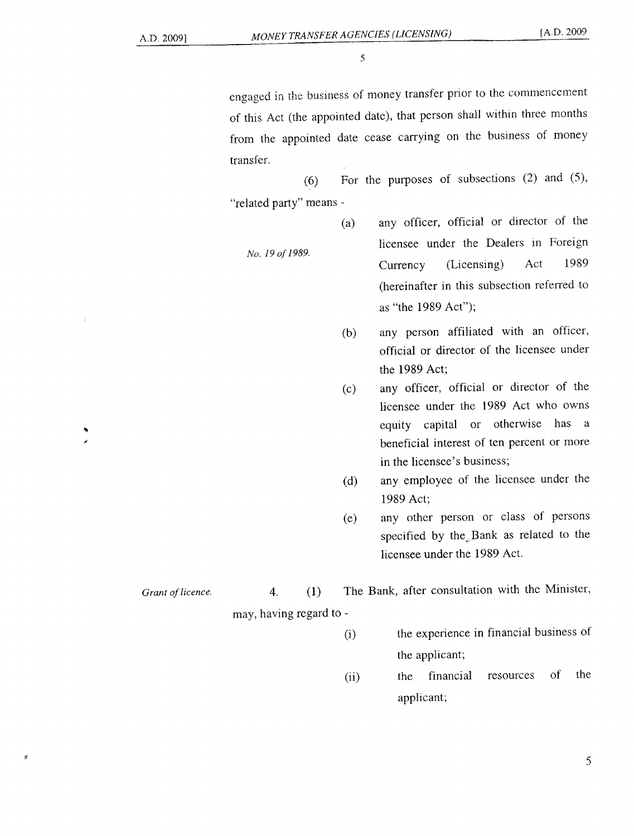engaged in the business of money transfer prior to the commencement of this Act (the appointed datc); that person shall within three months from the appointed date cease carrying on the business of money transfer.

 $(6)$  For the purposes of subsections  $(2)$  and  $(5)$ , "related party" means -

*No. 19 of 1989.*

- (a) any officer, official or director of the licensee under the Dealers in Foreign Currency (Licensing) Act 1989 (hereinafter in this subsection referred to as "the 1989 Act");
- (b) any person affiliated with an officer, official or director of the licensee under the 1989 Act;
- (c) any officer, official or director of the licensee under the 1989 Act who owns equity capital or otherwise has a beneficial interest of ten percent or more in the licensee's business;
- any employee of the licensee under the 1989 Act; (d)
- (e) any other person or class of persons specified by the Bank as related to the licensee under the 1989 Act.

4. (1) The Bank, after consultation with the Minister,

may, having regard to -

*Grant of licence.*

g

- (i) the experience in financial business of the applicant;
- (ii) the financial resources of the applicant;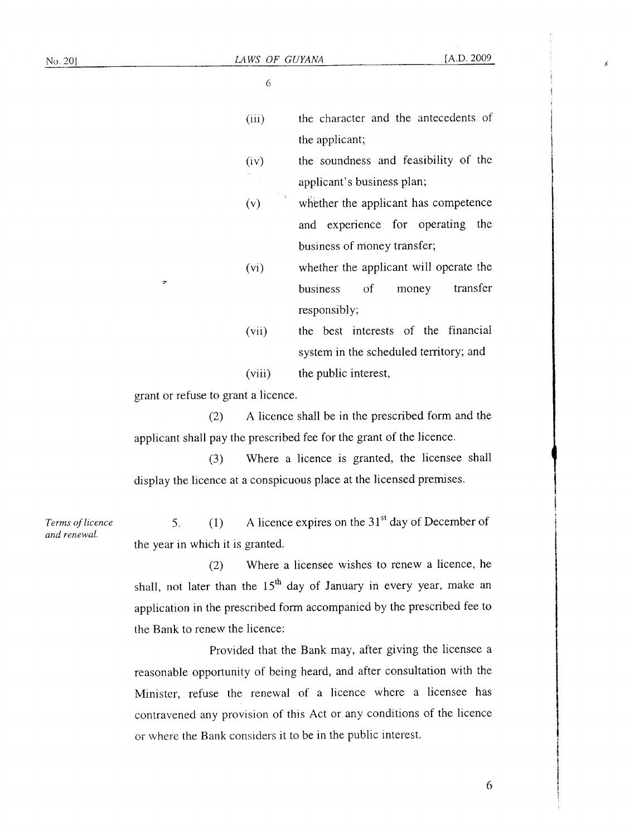| (iii) |                |  | the character and the antecedents of |  |
|-------|----------------|--|--------------------------------------|--|
|       | the applicant; |  |                                      |  |

- (iv) the soundness and feasibility of the applicant's business plan;
- $(v)$  whether the applicant has competence and experience for operating the business of money transfer;
- (vi) whether the applicant will operate the business of money transfer responsibly;
- (vii) the best interests of the financial system in the scheduled territory; and

(viii) the public interest,

grant or refuse to grant a licence.

.,.

(2) A licence shall be in the prescribed form and the applicant shall pay the prescribed fee for the grant of the licence.

(3) Where a licence is granted, the licensee shall display the licence at a conspicuous place at the licensed premises.

5. (1) A licence expires on the  $31<sup>st</sup>$  day of December of the year in which it is granted.

(2) Where a licensee wishes to renew a licence, he shall, not later than the  $15<sup>th</sup>$  day of January in every year, make an application in the prescribed form accompanied by the prescribed fee to the Bank to renew the licence:

Provided that the Bank may, after giving the licensee a reasonable opportunity of being heard, and after consultation with the Minister, refuse the renewal of a licence where a licensee has contravened any provision of this Act or any conditions of the licence or where the Bank considers it to be in the public interest.

*Terms of licence and renewal.*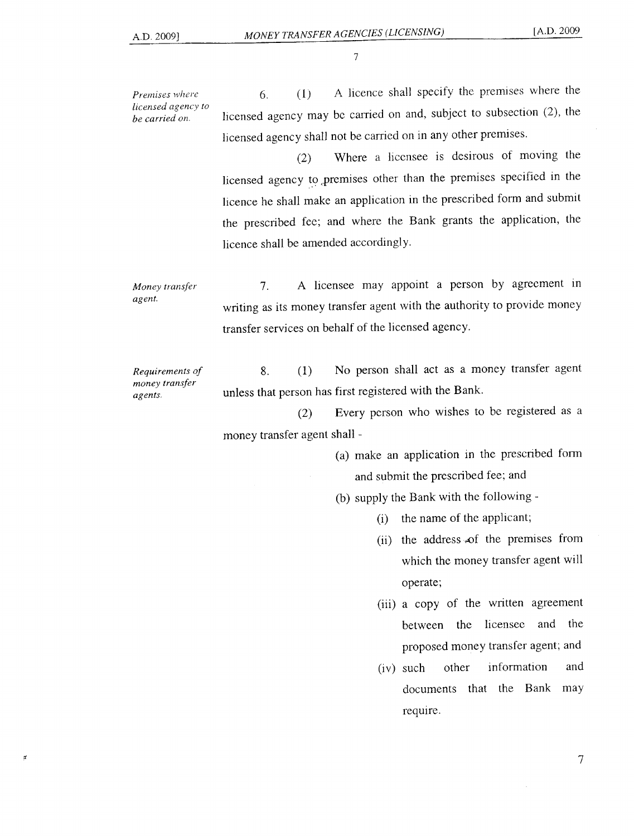*Premises where licensed agency to be carried on.*

 $\mathcal{G}$ 

7

6. (1) A licence shalJ specify the premises where the licensed agency may be carried on and, subject to subsection (2), the licensed agency shall not be carried on in any other premises.

(2) Where a licensee is desirous of moving the licensed agency to premises other than the premises specified in the licence he shall make an application in the prescribed form and submit the prescribed fee; and where the Bank grants the application, the licence shall be amended accordingly.

*Money transfer agent.* 7. A licensee may appoint a person by agreement in writing as its money transfer agent with the authority to provide money transfer services on behalf of the licensed agency.

*Requirements of money transfer agents,* 8. (1) No person shall act as a money transfer agent unless that person has first registered with the Bank.

> (2) Every person who wishes to be registered as a money transfer agent shall -

> > (a) make an application in the prescribed form and submit the prescribed fee; and

(b) supply the Bank with the following -

- (i) the name of the applicant;
- (ii) the address of the premises from which the money transfer agent will operate;
- (iii) a copy of the written agreement between the licensee and the proposed money transfer agent; and
- (iv) such other information and documents that the Bank may reqUIre.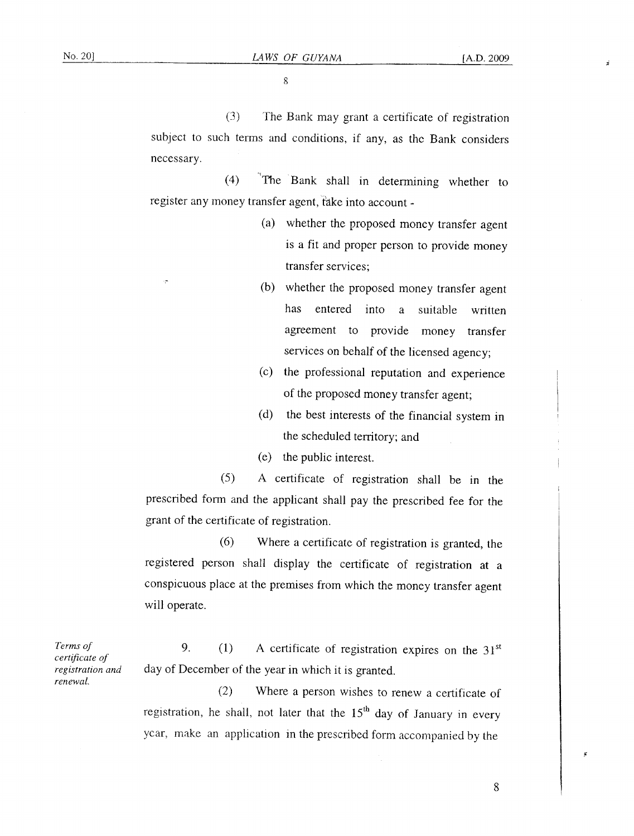$(3)$ The Bank may grant a certificate of registration subject to such terms and conditions, if any, as the Bank considers necessary.

(4) ~The Bank shall in determining whether to register any money transfer agent, take into account -

- (a) whether the proposed money transfer agent is a fit and proper person to provide money transfer services;
- (b) whether the proposed money transfer agent has entered into a suitable written agreement to provide money transfer services on behalf of the licensed agency;
- (c) the professional reputation and experience of the proposed money transfer agent;
- (d) the best interests of the financial system in the scheduled territory; and
- (e) the public interest.

(5) A certificate of registration shall be in the prescribed fonn and the applicant shall pay the prescribed fee for the grant of the certificate of registration.

(6) Where a certificate of registration is granted, the registered person shall display the certificate of registration at a conspicuous place at the premises from which the money transfer agent will operate.

9. (1) A certificate of registration expires on the  $31<sup>st</sup>$ day of December of the year in which it is granted.

(2) Where a person wishes to renew a certificate of registration, he shall, not later that the  $15<sup>th</sup>$  day of January in every year, make an application in the prescribed form accompanied by the

*Terms of certificate of registration and renewal.*

 $\mathbf{g}$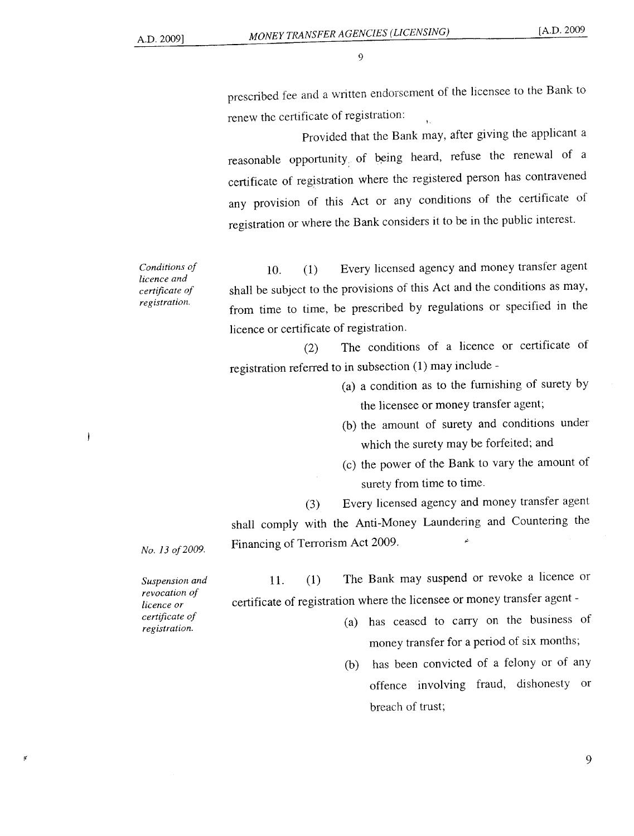*Conditions of licence and certificate of registration.*

9

prescribed fee and a written endorsement of the licensee to the Bank to renew the certificate of registration:

Provided that the Bank may, after giving the applicant a reasonable opportunity of being heard, refuse the renewal of a certificate of registration where the registered person has contravened any provision of this Act or any conditions of the certificate of registration or where the Bank considers it to be in the public interest.

10. (1) Every licensed agency and money transfer agent shall be subject to the provisions of this Act and the conditions as may, from time to time, be prescribed by regulations or specified in the licence or certificate of registration.

(2) The conditions of a licence or certificate of registration referred to in subsection (1) may include -

- (a) a condition as to the furnishing of surety by the licensee or money transfer agent;
- (b) the amount of surety and conditions under which the surety may be forfeited; and
- (c) the power of the Bank to vary the amount of surety from time to time.
- (3) Every licensed agency and money transfer agent

shall comply with the Anti-Money Laundering and Countering the Financing of Terrorism Act 2009.

*No.* 13 *of 2009.*

 $\mathbf{I}$ 

 $\mathfrak s$ 

*Suspension and revocation of licence or certificate of registration.*

- 11. (1) The Bank may suspend or revoke a licence or certificate of registration where the licensee or money transfer agent -
	- (a) has ceased to carry on the business of money transfer for a period of six months;
	- (b) has been convicted of a felony or of any offence involving fraud, dishonesty or breach of trust;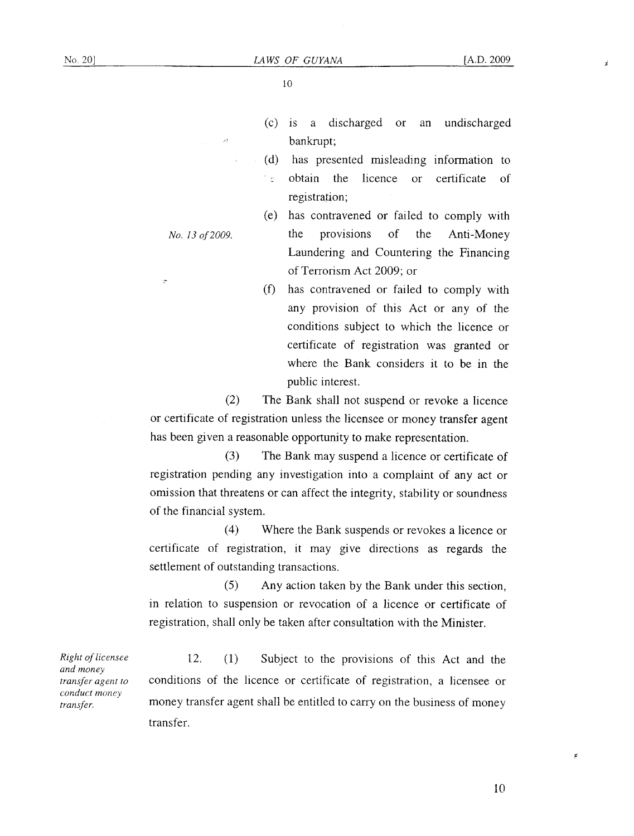- (c) IS a discharged or an undischarged bankrupt;
- (d) has presented misleading information to  $^{\prime}$   $\in$ obtain the licence or certificate of registration;

(e) has contravened or failed to comply with the provisions of the Anti-Money Laundering and Countering the Financing of Terrorism Act 2009; or

> (f) has contravened or failed to comply with any provision of this Act or any of the conditions subject to which the licence or certificate of registration was granted or where the Bank considers it to be in the public interest.

(2) The Bank shall not suspend or revoke a licence or certificate of registration unless the licensee or money transfer agent has been given a reasonable opportunity to make representation.

(3) The Bank may suspend a licence or certificate of registration pending any investigation into a complaint of any act or omission that threatens or can affect the integrity, stability or soundness of the financial system.

(4) Where the Bank suspends or revokes a licence or certificate of registration, it may give directions as regards the settlement of outstanding transactions.

(5) Any action taken by the Bank under this section, in relation to suspension or revocation of a licence or certificate of registration, shall only be taken after consultation with the Minister.

*Right of licensee and money transfer agent to conduct money transfer.* 12. (1) Subject to the provisions of this Act and the conditions of the licence or certificate of registration, a licensee or money transfer agent shall be entitled to carryon the business of money transfer.

*No.* 13 *0(2009.*

بر

 $\leq$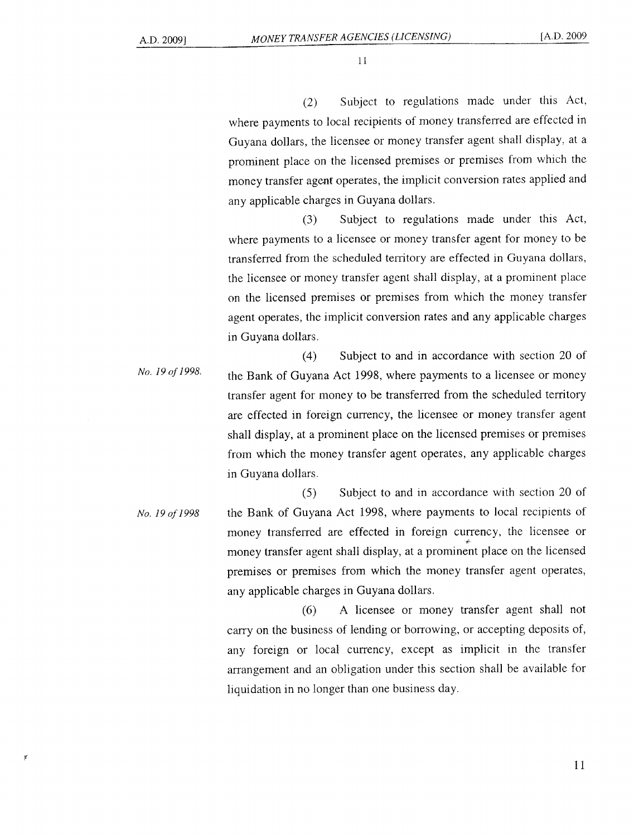(2) Subject to regulations made under this Act, where payments to local recipients of money transferred are effected in Guyana dollars, the licensee or money transfer agent shall display, at a prominent place on the licensed premises or premises from which the money transfer agenf operates, the implicit conversion rates applied and any applicable charges in Guyana dollars.

(3) Subject to regulations made under this Act, where payments to a licensee or money transfer agent for money to be transferred from the scheduled territory are effected in Guyana dollars, the licensee or money transfer agent shall display, at a prominent place on the licensed premises or premises from which the money transfer agent operates, the implicit conversion rates and any applicable charges in Guyana dollars.

*No.* 19 *of 1998.* (4) Subject to and in accordance with section 20 of the Bank of Guyana Act 1998, where payments to a licensee or money transfer agent for money to be transferred from the scheduled territory are effected in foreign currency, the licensee or money transfer agent shall display, at a prominent place on the licensed premises or premises from which the money transfer agent operates, any applicable charges in Guyana dollars.

*No.* 19 *of 1998* (5) Subject to and in accordance with section 20 of the Bank of Guyana Act 1998, where payments to local recipients of money transferred are effected in foreign currency, the licensee or ~. money transfer agent shall display, at a prominent place on the licensed premises or premises from which the money transfer agent operates, any applicable charges in Guyana dollars.

> (6) A licensee or money transfer agent shall not carryon the business of lending or borrowing, or accepting deposits of, any foreign or local currency, except as implicit in the transfer arrangement and an obligation under this section shall be available for liquidation in no longer than one business day.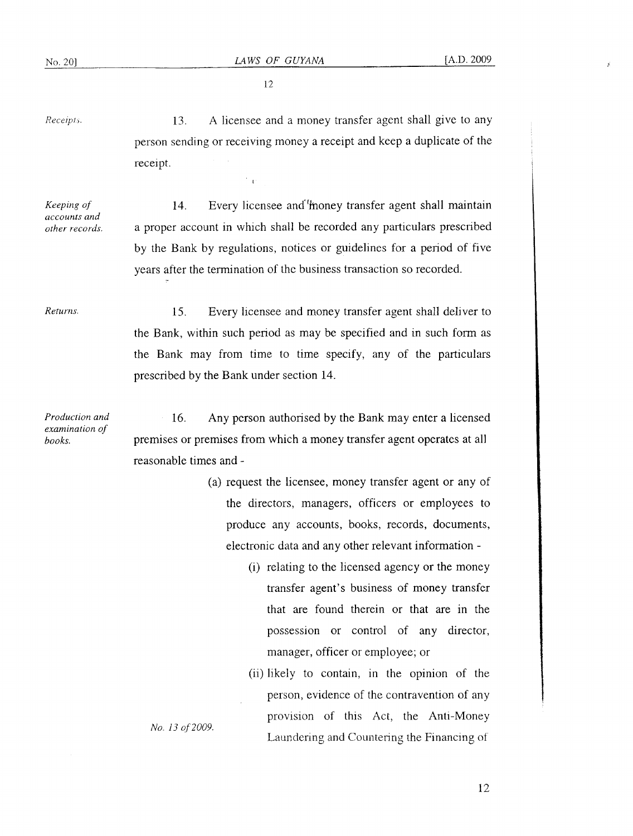*Receipt.;.* 13. A licensee and a money transfer agent shall give to any person sending or receiving money a receipt and keep a duplicate of the receipt. . l

*Keeping of accounts and other records.*

14. Every licensee and money transfer agent shall maintain a proper account in which shall be recorded any particulars prescribed by the Bank by regulations, notices or guidelines for a period of five years after the termination of the business transaction so recorded.

*Returns.* 15. Every licensee and money transfer agent shall deliver to the Bank, within such period as may be specified and in such form as the Bank may from time to time specify, any of the particulars prescribed by the Bank under section 14.

*Production and examination of books.* 16. Any person authorised by the Bank may enter a licensed premises or premises from which a money transfer agent operates at all reasonable times and -

- (a) request the licensee, money transfer agent or any of the directors, managers, officers or employees to produce any accounts, books, records, documents, electronic data and any other relevant information -
	- (i) relating to the licensed agency or the money transfer agent's business of money transfer that are found therein or that are in the possession or control of any director, manager, officer or employee; or
	- (ii) likely to contain, in the opinion of the person, evidence of the contravention of any provision of this Act, the Anti-Money Laundering and Countering the Financing of

*No.* 13 *of2009.*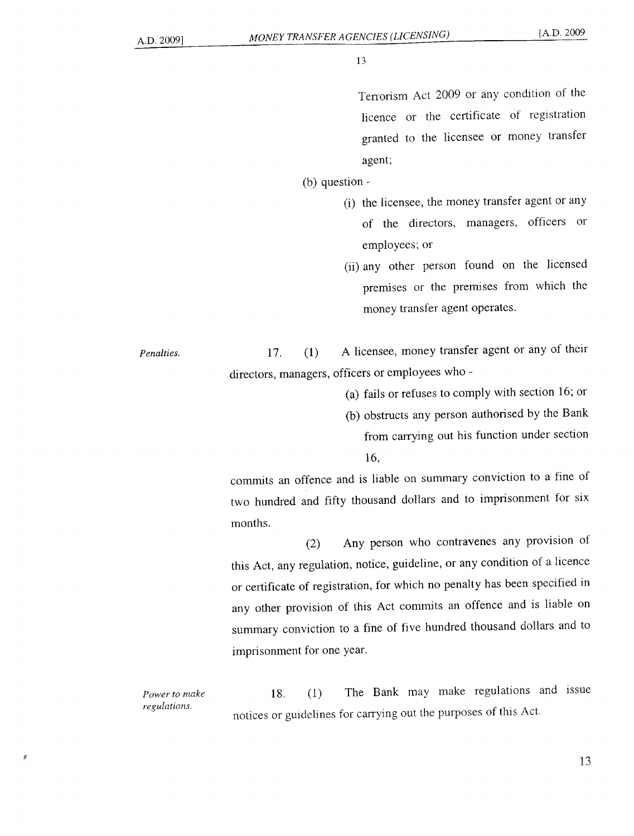*Penalties.*

 $\leq$ 

13

Tenorism Act 2009 or any condition of the licence or the certificate of registration granted to the licensee or money transfer agent;

- (b) question
	- (i) the licensee, the money transfer agent or any of the directors, managers, officers or employees; or
	- (ii) any other person found on the licensed premises or the premises from which the money transfer agent operates.

17. (1) A licensee, money transfer agent or any of their directors, managers, officers or employees who -

- (a) fails or refuses to comply with section 16; or
- (b) obstructs any person authorised by the Bank from carrying out his function under section 16,

commits an offence and is liable on summary conviction to a fine of two hundred and fifty thousand dollars and to imprisonment for six months.

(2) Any person who contravenes any provision of this Act, any regulation, notice, guideline, or any condition of a licence or certificate of registration, for which no penalty has been specified in any other provision of this Act commits an offence and is liable on summary conviction to a fine of five hundred thousand dollars and to imprisonment for one year.

*Power to make regulations.* 18. (1) The Bank may make regulations and issue notices or guidelines for carrying out the purposes of this Act.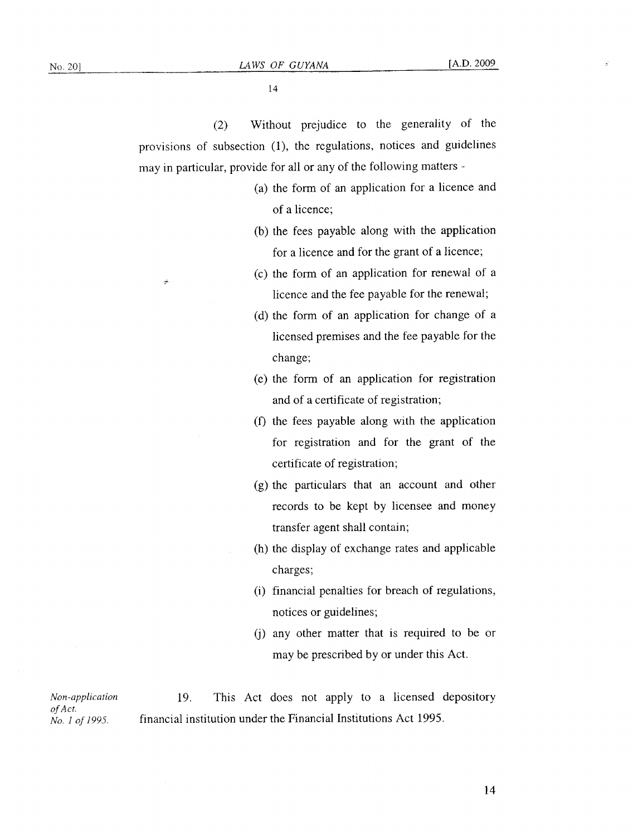(2) Without prejudice to the generality of the provisions of subsection (1), the regulations, notices and guidelines may in particular, provide for all or any of the following matters -

- (a) the form of an application for a licence and of a licence;
- (b) the fees payable along with the application for a licence and for the grant of a licence;
- (c) the form of an application for renewal of a licence and the fee payable for the renewal;
- (d) the form of an application for change of a licensed premises and the fee payable for the change;
- (e) the form of an application for registration and of a certificate of registration;
- (f) the fees payable along with the application for registration and for the grant of the certificate of registration;
- (g) the particulars that an account and other records to be kept by licensee and money transfer agent shall contain;
- (h) the display of exchange rates and applicable charges;
- (i) financial penalties for breach of regulations, notices or guidelines;
- (j) any other matter that is required to be or may be prescribed by or under this Act.

*Non-application of Act, No,* 1 *of 1995,* 19. This Act does not apply to a licensed depository financial institution under the Financial Institutions Act 1995.

÷